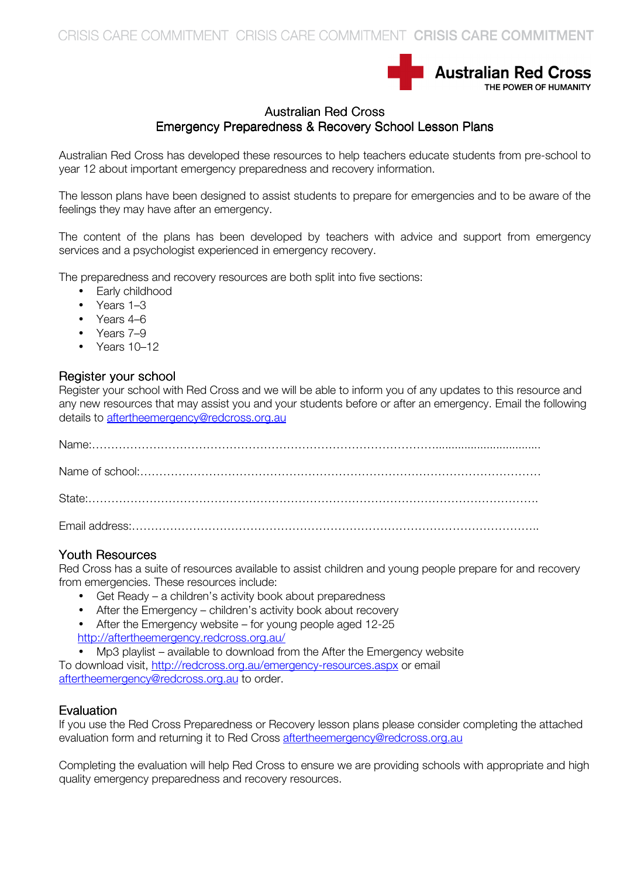

## **Australian Red Cross** Emergency Preparedness & Recovery School Lesson Plans

Australian Red Cross has developed these resources to help teachers educate students from pre-school to year 12 about important emergency preparedness and recovery information.

The lesson plans have been designed to assist students to prepare for emergencies and to be aware of the feelings they may have after an emergency.

The content of the plans has been developed by teachers with advice and support from emergency services and a psychologist experienced in emergency recovery.

The preparedness and recovery resources are both split into five sections:

- Early childhood
- Years 1–3
- Years 4–6
- Years 7-9
- Years 10–12

#### Register your school

Register your school with Red Cross and we will be able to inform you of any updates to this resource and any new resources that may assist you and your students before or after an emergency. Email the following details to aftertheemergency@redcross.org.au

#### Youth Resources

Red Cross has a suite of resources available to assist children and young people prepare for and recovery from emergencies. These resources include:

- Get Ready a children's activity book about preparedness
- After the Emergency children's activity book about recovery
- After the Emergency website for young people aged 12-25
- http://aftertheemergency.redcross.org.au/
- Mp3 playlist available to download from the After the Emergency website

To download visit, http://redcross.org.au/emergency-resources.aspx or email aftertheemergency@redcross.org.au to order.

### **Evaluation**

If you use the Red Cross Preparedness or Recovery lesson plans please consider completing the attached evaluation form and returning it to Red Cross aftertheemergency@redcross.org.au

Completing the evaluation will help Red Cross to ensure we are providing schools with appropriate and high quality emergency preparedness and recovery resources.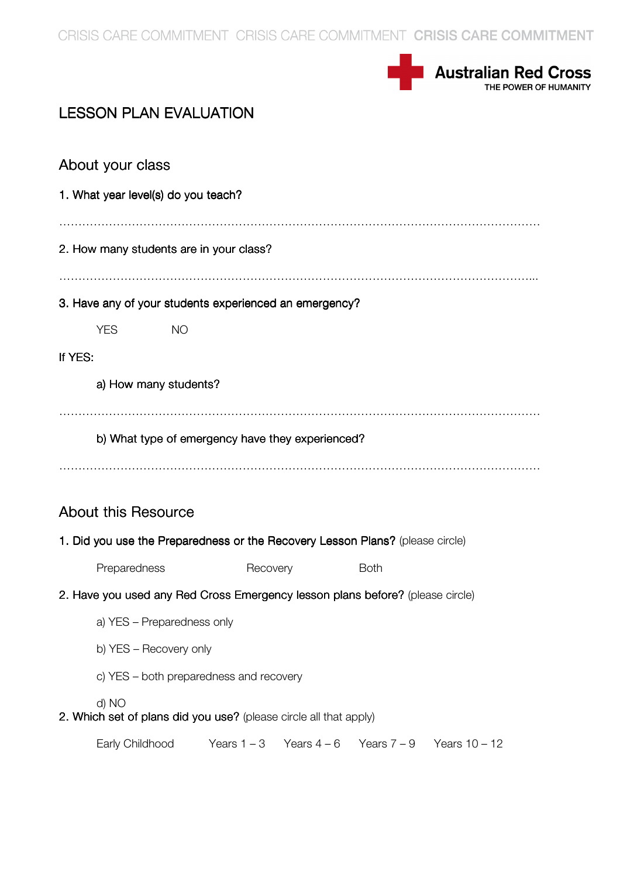CRISIS CARE COMMITMENT CRISIS CARE COMMITMENT CRISIS CARE COMMITMENT



# **LESSON PLAN EVALUATION**

|                                                                               | About your class                                 |               |  |             |               |                 |  |
|-------------------------------------------------------------------------------|--------------------------------------------------|---------------|--|-------------|---------------|-----------------|--|
| 1. What year level(s) do you teach?                                           |                                                  |               |  |             |               |                 |  |
|                                                                               |                                                  |               |  |             |               |                 |  |
| 2. How many students are in your class?                                       |                                                  |               |  |             |               |                 |  |
| 3. Have any of your students experienced an emergency?                        |                                                  |               |  |             |               |                 |  |
|                                                                               | <b>YES</b>                                       | <b>NO</b>     |  |             |               |                 |  |
| If YES:                                                                       |                                                  |               |  |             |               |                 |  |
|                                                                               | a) How many students?                            |               |  |             |               |                 |  |
|                                                                               |                                                  |               |  |             |               |                 |  |
|                                                                               | b) What type of emergency have they experienced? |               |  |             |               |                 |  |
|                                                                               |                                                  |               |  |             |               |                 |  |
| <b>About this Resource</b>                                                    |                                                  |               |  |             |               |                 |  |
| 1. Did you use the Preparedness or the Recovery Lesson Plans? (please circle) |                                                  |               |  |             |               |                 |  |
|                                                                               | Preparedness                                     |               |  | Recovery    | <b>Both</b>   |                 |  |
| 2. Have you used any Red Cross Emergency lesson plans before? (please circle) |                                                  |               |  |             |               |                 |  |
|                                                                               | a) YES - Preparedness only                       |               |  |             |               |                 |  |
|                                                                               | b) YES - Recovery only                           |               |  |             |               |                 |  |
|                                                                               | c) YES - both preparedness and recovery          |               |  |             |               |                 |  |
| d) NO<br>2. Which set of plans did you use? (please circle all that apply)    |                                                  |               |  |             |               |                 |  |
|                                                                               | Early Childhood                                  | Years $1 - 3$ |  | Years $4-6$ | Years $7 - 9$ | Years $10 - 12$ |  |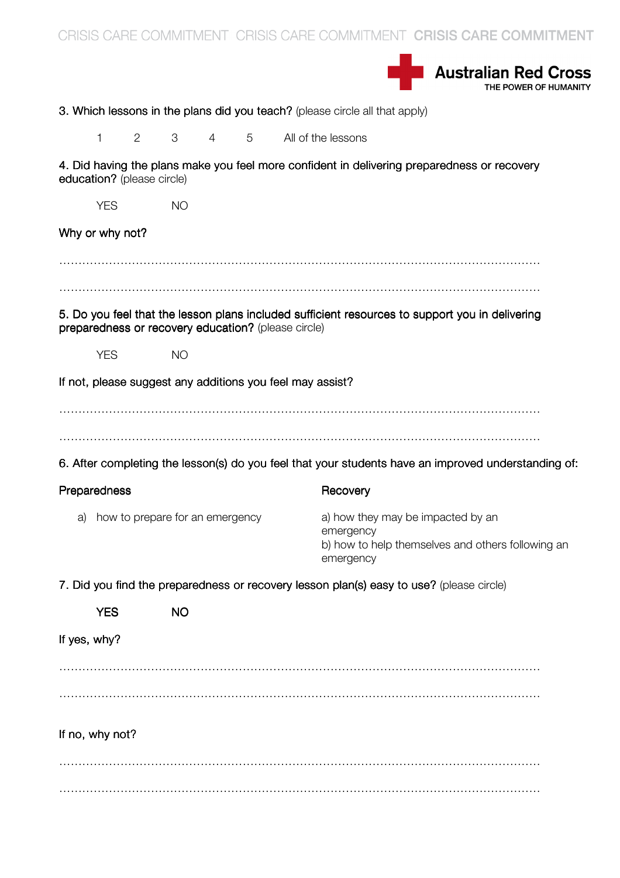CRISIS CARE COMMITMENT CRISIS CARE COMMITMENT CRISIS CARE COMMITMENT **Australian Red Cross** 3. Which lessons in the plans did you teach? (please circle all that apply) 1 2 3 4 5 All of the lessons 4. Did having the plans make you feel more confident in delivering preparedness or recovery education? (please circle) YES NO Why or why not? ……………………………………………………………………………………………………………… 5. Do you feel that the lesson plans included sufficient resources to support you in delivering preparedness or recovery education? (please circle) YES NO If not, please suggest any additions you feel may assist?  $\mathcal{L}^{\text{max}}_{\text{max}}$ ……………………………………………………………………………………………………………… 6. After completing the lesson(s) do you feel that your students have an improved understanding of: Preparedness **Recovery** Recovery a) how to prepare for an emergency a) how they may be impacted by an emergency b) how to help themselves and others following an emergency 7. Did you find the preparedness or recovery lesson plan(s) easy to use? (please circle) YES NO If yes, why? ……………………………………………………………………………………………………………… If no, why not? ………………………………………………………………………………………………………………  $\mathcal{L}^{\text{max}}_{\text{max}}$